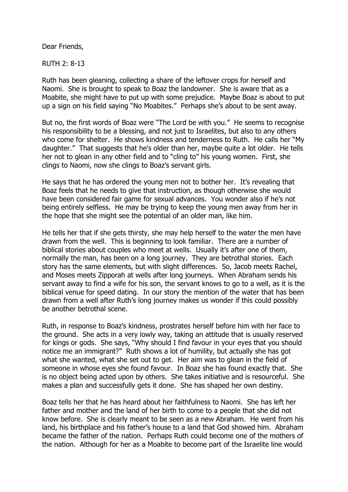Dear Friends,

RUTH 2: 8-13

Ruth has been gleaning, collecting a share of the leftover crops for herself and Naomi. She is brought to speak to Boaz the landowner. She is aware that as a Moabite, she might have to put up with some prejudice. Maybe Boaz is about to put up a sign on his field saying "No Moabites." Perhaps she's about to be sent away.

But no, the first words of Boaz were "The Lord be with you." He seems to recognise his responsibility to be a blessing, and not just to Israelites, but also to any others who come for shelter. He shows kindness and tenderness to Ruth. He calls her "My daughter." That suggests that he's older than her, maybe quite a lot older. He tells her not to glean in any other field and to "cling to" his young women. First, she clings to Naomi, now she clings to Boaz's servant girls.

He says that he has ordered the young men not to bother her. It's revealing that Boaz feels that he needs to give that instruction, as though otherwise she would have been considered fair game for sexual advances. You wonder also if he's not being entirely selfless. He may be trying to keep the young men away from her in the hope that she might see the potential of an older man, like him.

He tells her that if she gets thirsty, she may help herself to the water the men have drawn from the well. This is beginning to look familiar. There are a number of biblical stories about couples who meet at wells. Usually it's after one of them, normally the man, has been on a long journey. They are betrothal stories. Each story has the same elements, but with slight differences. So, Jacob meets Rachel, and Moses meets Zipporah at wells after long journeys. When Abraham sends his servant away to find a wife for his son, the servant knows to go to a well, as it is the biblical venue for speed dating. In our story the mention of the water that has been drawn from a well after Ruth's long journey makes us wonder if this could possibly be another betrothal scene.

Ruth, in response to Boaz's kindness, prostrates herself before him with her face to the ground. She acts in a very lowly way, taking an attitude that is usually reserved for kings or gods. She says, "Why should I find favour in your eyes that you should notice me an immigrant?" Ruth shows a lot of humility, but actually she has got what she wanted, what she set out to get. Her aim was to glean in the field of someone in whose eyes she found favour. In Boaz she has found exactly that. She is no object being acted upon by others. She takes initiative and is resourceful. She makes a plan and successfully gets it done. She has shaped her own destiny.

Boaz tells her that he has heard about her faithfulness to Naomi. She has left her father and mother and the land of her birth to come to a people that she did not know before. She is clearly meant to be seen as a new Abraham. He went from his land, his birthplace and his father's house to a land that God showed him. Abraham became the father of the nation. Perhaps Ruth could become one of the mothers of the nation. Although for her as a Moabite to become part of the Israelite line would